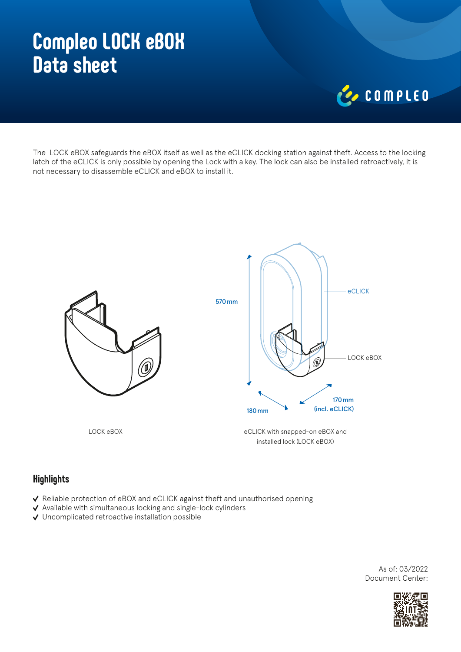# **Compleo LOCK eBOX Data sheet**



The LOCK eBOX safeguards the eBOX itself as well as the eCLICK docking station against theft. Access to the locking latch of the eCLICK is only possible by opening the Lock with a key. The lock can also be installed retroactively, it is not necessary to disassemble eCLICK and eBOX to install it.



#### **Highlights**

- ↓ Reliable protection of eBOX and eCLICK against theft and unauthorised opening
- $\vee$  Available with simultaneous locking and single-lock cylinders
- Uncomplicated retroactive installation possible

As of: 03/2022 Document Center: